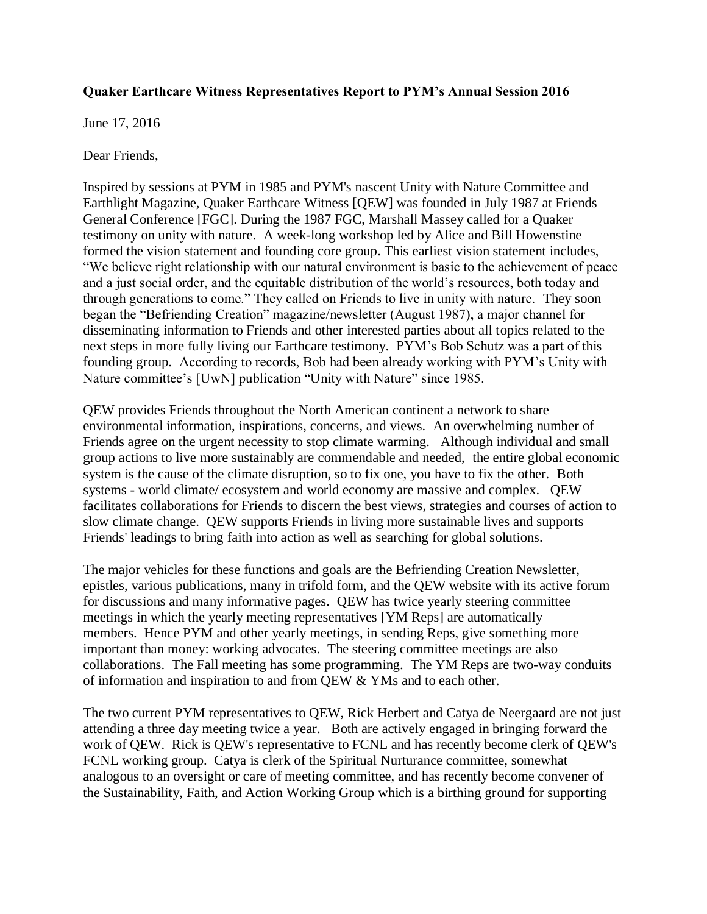## **Quaker Earthcare Witness Representatives Report to PYM's Annual Session 2016**

June 17, 2016

Dear Friends,

Inspired by sessions at PYM in 1985 and PYM's nascent Unity with Nature Committee and Earthlight Magazine, Quaker Earthcare Witness [QEW] was founded in July 1987 at Friends General Conference [FGC]. During the 1987 FGC, Marshall Massey called for a Quaker testimony on unity with nature. A week-long workshop led by Alice and Bill Howenstine formed the vision statement and founding core group. This earliest vision statement includes, "We believe right relationship with our natural environment is basic to the achievement of peace and a just social order, and the equitable distribution of the world's resources, both today and through generations to come." They called on Friends to live in unity with nature. They soon began the "Befriending Creation" magazine/newsletter (August 1987), a major channel for disseminating information to Friends and other interested parties about all topics related to the next steps in more fully living our Earthcare testimony. PYM's Bob Schutz was a part of this founding group. According to records, Bob had been already working with PYM's Unity with Nature committee's [UwN] publication "Unity with Nature" since 1985.

QEW provides Friends throughout the North American continent a network to share environmental information, inspirations, concerns, and views. An overwhelming number of Friends agree on the urgent necessity to stop climate warming. Although individual and small group actions to live more sustainably are commendable and needed, the entire global economic system is the cause of the climate disruption, so to fix one, you have to fix the other. Both systems - world climate/ ecosystem and world economy are massive and complex. QEW facilitates collaborations for Friends to discern the best views, strategies and courses of action to slow climate change. QEW supports Friends in living more sustainable lives and supports Friends' leadings to bring faith into action as well as searching for global solutions.

The major vehicles for these functions and goals are the Befriending Creation Newsletter, epistles, various publications, many in trifold form, and the QEW website with its active forum for discussions and many informative pages. QEW has twice yearly steering committee meetings in which the yearly meeting representatives [YM Reps] are automatically members. Hence PYM and other yearly meetings, in sending Reps, give something more important than money: working advocates. The steering committee meetings are also collaborations. The Fall meeting has some programming. The YM Reps are two-way conduits of information and inspiration to and from QEW & YMs and to each other.

The two current PYM representatives to QEW, Rick Herbert and Catya de Neergaard are not just attending a three day meeting twice a year. Both are actively engaged in bringing forward the work of QEW. Rick is QEW's representative to FCNL and has recently become clerk of QEW's FCNL working group. Catya is clerk of the Spiritual Nurturance committee, somewhat analogous to an oversight or care of meeting committee, and has recently become convener of the Sustainability, Faith, and Action Working Group which is a birthing ground for supporting